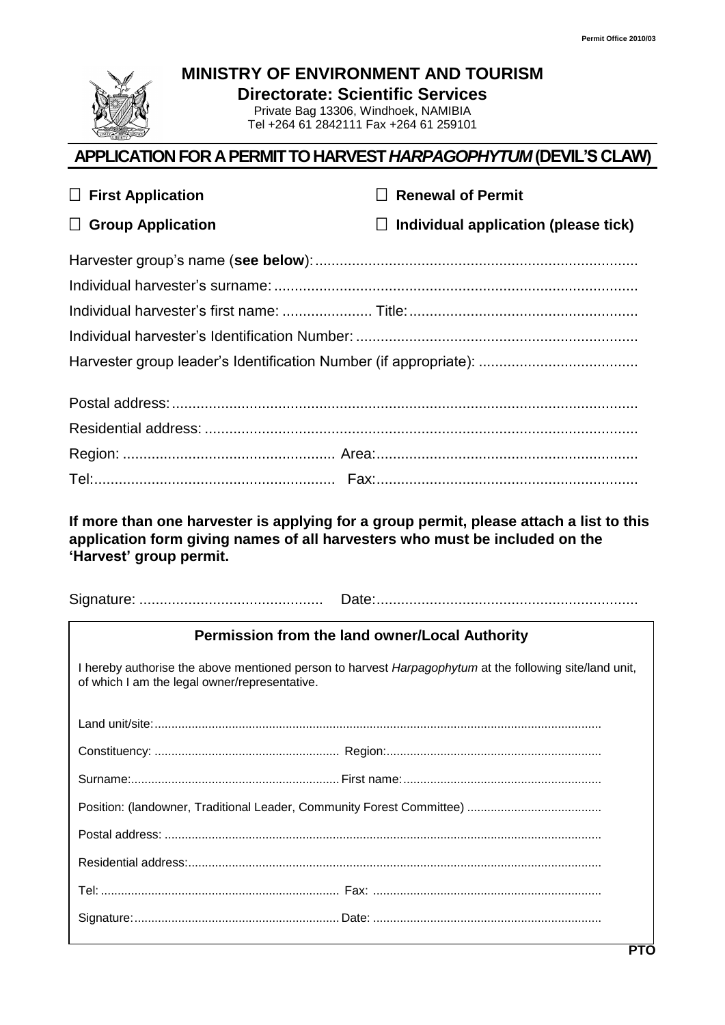

**MINISTRY OF ENVIRONMENT AND TOURISM**

**Directorate: Scientific Services**

Private Bag 13306, Windhoek, NAMIBIA Tel +264 61 2842111 Fax +264 61 259101

## **APPLICATION FOR A PERMIT TO HARVEST** *HARPAGOPHYTUM* **(DEVIL'S CLAW)**

| $\Box$ First Application                                                                                                                                 | <b>Renewal of Permit</b>                       |
|----------------------------------------------------------------------------------------------------------------------------------------------------------|------------------------------------------------|
| <b>Group Application</b><br>$\Box$                                                                                                                       | Individual application (please tick)<br>$\Box$ |
|                                                                                                                                                          |                                                |
|                                                                                                                                                          |                                                |
|                                                                                                                                                          |                                                |
|                                                                                                                                                          |                                                |
|                                                                                                                                                          |                                                |
|                                                                                                                                                          |                                                |
|                                                                                                                                                          |                                                |
|                                                                                                                                                          |                                                |
|                                                                                                                                                          |                                                |
| application form giving names of all harvesters who must be included on the<br>'Harvest' group permit.                                                   |                                                |
| Permission from the land owner/Local Authority                                                                                                           |                                                |
| I hereby authorise the above mentioned person to harvest Harpagophytum at the following site/land unit,<br>of which I am the legal owner/representative. |                                                |
| Land unit/site:                                                                                                                                          |                                                |
|                                                                                                                                                          |                                                |
|                                                                                                                                                          |                                                |
|                                                                                                                                                          |                                                |
|                                                                                                                                                          |                                                |
|                                                                                                                                                          |                                                |
|                                                                                                                                                          |                                                |
|                                                                                                                                                          |                                                |